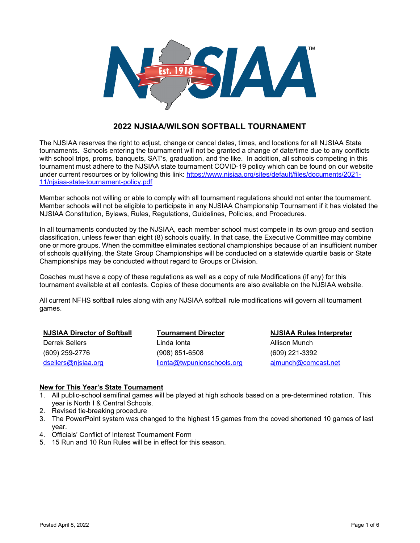

# **2022 NJSIAA/WILSON SOFTBALL TOURNAMENT**

The NJSIAA reserves the right to adjust, change or cancel dates, times, and locations for all NJSIAA State tournaments. Schools entering the tournament will not be granted a change of date/time due to any conflicts with school trips, proms, banquets, SAT's, graduation, and the like. In addition, all schools competing in this tournament must adhere to the NJSIAA state tournament COVID-19 policy which can be found on our website under current resources or by following this link: [https://www.njsiaa.org/sites/default/files/documents/2021-](https://www.njsiaa.org/sites/default/files/documents/2021-11/njsiaa-state-tournament-policy.pdf) [11/njsiaa-state-tournament-policy.pdf](https://www.njsiaa.org/sites/default/files/documents/2021-11/njsiaa-state-tournament-policy.pdf)

Member schools not willing or able to comply with all tournament regulations should not enter the tournament. Member schools will not be eligible to participate in any NJSIAA Championship Tournament if it has violated the NJSIAA Constitution, Bylaws, Rules, Regulations, Guidelines, Policies, and Procedures.

In all tournaments conducted by the NJSIAA, each member school must compete in its own group and section classification, unless fewer than eight (8) schools qualify. In that case, the Executive Committee may combine one or more groups. When the committee eliminates sectional championships because of an insufficient number of schools qualifying, the State Group Championships will be conducted on a statewide quartile basis or State Championships may be conducted without regard to Groups or Division.

Coaches must have a copy of these regulations as well as a copy of rule Modifications (if any) for this tournament available at all contests. Copies of these documents are also available on the NJSIAA website.

All current NFHS softball rules along with any NJSIAA softball rule modifications will govern all tournament games.

| <b>NJSIAA Director of Softball</b> | <b>Tournament Director</b> | <b>NJSIAA Rules Interpreter</b> |
|------------------------------------|----------------------------|---------------------------------|
| Derrek Sellers                     | Linda Ionta                | Allison Munch                   |
| (609) 259-2776                     | $(908) 851 - 6508$         | (609) 221-3392                  |
| dsellers@njsiaa.org                | lionta@twpunionschools.org | ajmunch@comcast.net             |

# **New for This Year's State Tournament**

- 1. All public-school semifinal games will be played at high schools based on a pre-determined rotation. This year is North I & Central Schools.
- 2. Revised tie-breaking procedure
- 3. The PowerPoint system was changed to the highest 15 games from the coved shortened 10 games of last year.
- 4. Officials' Conflict of Interest Tournament Form
- 5. 15 Run and 10 Run Rules will be in effect for this season.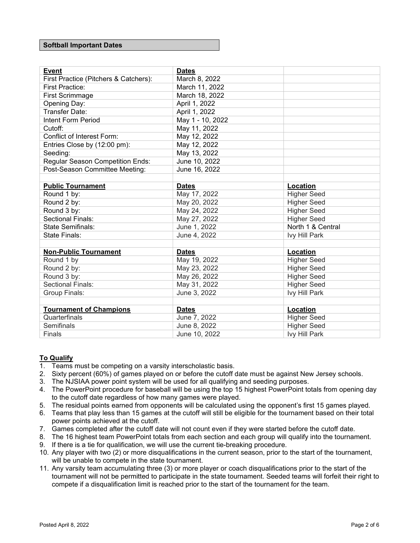#### **Softball Important Dates**

| <b>Event</b>                          | <b>Dates</b>                       |                    |  |
|---------------------------------------|------------------------------------|--------------------|--|
| First Practice (Pitchers & Catchers): | March 8, 2022                      |                    |  |
| <b>First Practice:</b>                | March 11, 2022                     |                    |  |
| <b>First Scrimmage</b>                | March 18, 2022                     |                    |  |
| Opening Day:                          | April 1, 2022                      |                    |  |
| <b>Transfer Date:</b>                 | April 1, 2022                      |                    |  |
| Intent Form Period                    | May 1 - 10, 2022                   |                    |  |
| Cutoff:                               | May 11, 2022                       |                    |  |
| <b>Conflict of Interest Form:</b>     | May 12, 2022                       |                    |  |
| Entries Close by (12:00 pm):          | May 12, 2022                       |                    |  |
| Seeding:                              | May 13, 2022                       |                    |  |
| Regular Season Competition Ends:      | June 10, 2022                      |                    |  |
| Post-Season Committee Meeting:        | June 16, 2022                      |                    |  |
|                                       |                                    |                    |  |
| <b>Public Tournament</b>              | <b>Dates</b>                       | Location           |  |
| Round 1 by:                           | May 17, 2022                       | <b>Higher Seed</b> |  |
| Round 2 by:                           | May 20, 2022                       | <b>Higher Seed</b> |  |
| Round 3 by:                           | <b>Higher Seed</b><br>May 24, 2022 |                    |  |
| <b>Sectional Finals:</b>              | <b>Higher Seed</b><br>May 27, 2022 |                    |  |
| <b>State Semifinals:</b>              | North 1 & Central<br>June 1, 2022  |                    |  |
| State Finals:                         | June 4, 2022<br>Ivy Hill Park      |                    |  |
|                                       |                                    |                    |  |
| <b>Non-Public Tournament</b>          | <b>Dates</b>                       | Location           |  |
| Round 1 by                            | May 19, 2022                       | <b>Higher Seed</b> |  |
| Round 2 by:                           | May 23, 2022                       | <b>Higher Seed</b> |  |
| Round 3 by:                           | May 26, 2022                       | <b>Higher Seed</b> |  |
| Sectional Finals:                     | May 31, 2022<br><b>Higher Seed</b> |                    |  |
| Group Finals:                         | June 3, 2022                       | Ivy Hill Park      |  |
|                                       |                                    |                    |  |
| <b>Tournament of Champions</b>        | <b>Dates</b>                       | Location           |  |
| Quarterfinals                         | June 7, 2022                       | <b>Higher Seed</b> |  |
| Semifinals                            | June 8, 2022                       | <b>Higher Seed</b> |  |
| Finals                                | June 10, 2022                      | Ivy Hill Park      |  |

# **To Qualify**

- 1. Teams must be competing on a varsity interscholastic basis.
- 2. Sixty percent (60%) of games played on or before the cutoff date must be against New Jersey schools.
- 3. The NJSIAA power point system will be used for all qualifying and seeding purposes.
- 4. The PowerPoint procedure for baseball will be using the top 15 highest PowerPoint totals from opening day to the cutoff date regardless of how many games were played.
- 5. The residual points earned from opponents will be calculated using the opponent's first 15 games played.
- 6. Teams that play less than 15 games at the cutoff will still be eligible for the tournament based on their total power points achieved at the cutoff.
- 7. Games completed after the cutoff date will not count even if they were started before the cutoff date.
- 8. The 16 highest team PowerPoint totals from each section and each group will qualify into the tournament.
- 9. If there is a tie for qualification, we will use the current tie-breaking procedure.
- 10. Any player with two (2) or more disqualifications in the current season, prior to the start of the tournament, will be unable to compete in the state tournament.
- 11. Any varsity team accumulating three (3) or more player or coach disqualifications prior to the start of the tournament will not be permitted to participate in the state tournament. Seeded teams will forfeit their right to compete if a disqualification limit is reached prior to the start of the tournament for the team.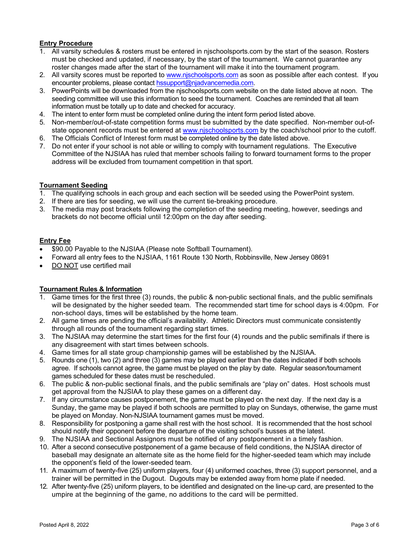# **Entry Procedure**

- 1. All varsity schedules & rosters must be entered in njschoolsports.com by the start of the season. Rosters must be checked and updated, if necessary, by the start of the tournament. We cannot guarantee any roster changes made after the start of the tournament will make it into the tournament program.
- 2. All varsity scores must be reported to [www.njschoolsports.com](http://www.njschoolsports.com/) as soon as possible after each contest. If you encounter problems, please contact [hssupport@njadvancemedia.com.](mailto:hssupport@njadvancemedia.com)
- 3. PowerPoints will be downloaded from the njschoolsports.com website on the date listed above at noon. The seeding committee will use this information to seed the tournament. Coaches are reminded that all team information must be totally up to date and checked for accuracy.
- 4. The intent to enter form must be completed online during the intent form period listed above.
- 5. Non-member/out-of-state competition forms must be submitted by the date specified. Non-member out-ofstate opponent records must be entered at [www.njschoolsports.com](http://www.njschoolsports.com/) by the coach/school prior to the cutoff.
- 6. The Officials Conflict of Interest form must be completed online by the date listed above.
- 7. Do not enter if your school is not able or willing to comply with tournament regulations. The Executive Committee of the NJSIAA has ruled that member schools failing to forward tournament forms to the proper address will be excluded from tournament competition in that sport.

# **Tournament Seeding**

- 1. The qualifying schools in each group and each section will be seeded using the PowerPoint system.
- 2. If there are ties for seeding, we will use the current tie-breaking procedure.
- 3. The media may post brackets following the completion of the seeding meeting, however, seedings and brackets do not become official until 12:00pm on the day after seeding.

### **Entry Fee**

- \$90.00 Payable to the NJSIAA (Please note Softball Tournament).
- Forward all entry fees to the NJSIAA, 1161 Route 130 North, Robbinsville, New Jersey 08691
- DO NOT use certified mail

# **Tournament Rules & Information**

- 1. Game times for the first three (3) rounds, the public & non-public sectional finals, and the public semifinals will be designated by the higher seeded team. The recommended start time for school days is 4:00pm. For non-school days, times will be established by the home team.
- 2. All game times are pending the official's availability. Athletic Directors must communicate consistently through all rounds of the tournament regarding start times.
- 3. The NJSIAA may determine the start times for the first four (4) rounds and the public semifinals if there is any disagreement with start times between schools.
- 4. Game times for all state group championship games will be established by the NJSIAA.
- 5. Rounds one (1), two (2) and three (3) games may be played earlier than the dates indicated if both schools agree. If schools cannot agree, the game must be played on the play by date. Regular season/tournament games scheduled for these dates must be rescheduled.
- 6. The public & non-public sectional finals, and the public semifinals are "play on" dates. Host schools must get approval from the NJSIAA to play these games on a different day.
- 7. If any circumstance causes postponement, the game must be played on the next day. If the next day is a Sunday, the game may be played if both schools are permitted to play on Sundays, otherwise, the game must be played on Monday. Non-NJSIAA tournament games must be moved.
- 8. Responsibility for postponing a game shall rest with the host school. It is recommended that the host school should notify their opponent before the departure of the visiting school's busses at the latest.
- 9. The NJSIAA and Sectional Assignors must be notified of any postponement in a timely fashion.
- 10. After a second consecutive postponement of a game because of field conditions, the NJSIAA director of baseball may designate an alternate site as the home field for the higher-seeded team which may include the opponent's field of the lower-seeded team.
- 11. A maximum of twenty-five (25) uniform players, four (4) uniformed coaches, three (3) support personnel, and a trainer will be permitted in the Dugout. Dugouts may be extended away from home plate if needed.
- 12. After twenty-five (25) uniform players, to be identified and designated on the line-up card, are presented to the umpire at the beginning of the game, no additions to the card will be permitted.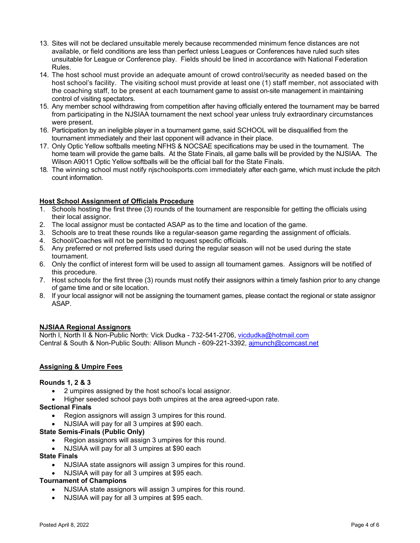- 13. Sites will not be declared unsuitable merely because recommended minimum fence distances are not available, or field conditions are less than perfect unless Leagues or Conferences have ruled such sites unsuitable for League or Conference play. Fields should be lined in accordance with National Federation Rules.
- 14. The host school must provide an adequate amount of crowd control/security as needed based on the host school's facility. The visiting school must provide at least one (1) staff member, not associated with the coaching staff, to be present at each tournament game to assist on-site management in maintaining control of visiting spectators.
- 15. Any member school withdrawing from competition after having officially entered the tournament may be barred from participating in the NJSIAA tournament the next school year unless truly extraordinary circumstances were present.
- 16. Participation by an ineligible player in a tournament game, said SCHOOL will be disqualified from the tournament immediately and their last opponent will advance in their place.
- 17. Only Optic Yellow softballs meeting NFHS & NOCSAE specifications may be used in the tournament. The home team will provide the game balls. At the State Finals, all game balls will be provided by the NJSIAA. The Wilson A9011 Optic Yellow softballs will be the official ball for the State Finals.
- 18. The winning school must notify njschoolsports.com immediately after each game, which must include the pitch count information.

# **Host School Assignment of Officials Procedure**

- 1. Schools hosting the first three (3) rounds of the tournament are responsible for getting the officials using their local assignor.
- 2. The local assignor must be contacted ASAP as to the time and location of the game.
- 3. Schools are to treat these rounds like a regular-season game regarding the assignment of officials.
- 4. School/Coaches will not be permitted to request specific officials.
- 5. Any preferred or not preferred lists used during the regular season will not be used during the state tournament.
- 6. Only the conflict of interest form will be used to assign all tournament games. Assignors will be notified of this procedure.
- 7. Host schools for the first three (3) rounds must notify their assignors within a timely fashion prior to any change of game time and or site location.
- 8. If your local assignor will not be assigning the tournament games, please contact the regional or state assignor ASAP.

#### **NJSIAA Regional Assignors**

North I, North II & Non-Public North: Vick Dudka - 732-541-2706, [vicdudka@hotmail.com](mailto:vicdudka@hotmail.com) Central & South & Non-Public South: Allison Munch - 609-221-3392, [ajmunch@comcast.net](mailto:ajmunch@comcast.net)

#### **Assigning & Umpire Fees**

#### **Rounds 1, 2 & 3**

- 2 umpires assigned by the host school's local assignor.
- Higher seeded school pays both umpires at the area agreed-upon rate.

### **Sectional Finals**

- Region assignors will assign 3 umpires for this round.
- NJSIAA will pay for all 3 umpires at \$90 each.

#### **State Semis-Finals (Public Only)**

- Region assignors will assign 3 umpires for this round.
- NJSIAA will pay for all 3 umpires at \$90 each

#### **State Finals**

- NJSIAA state assignors will assign 3 umpires for this round.
- NJSIAA will pay for all 3 umpires at \$95 each.

#### **Tournament of Champions**

- NJSIAA state assignors will assign 3 umpires for this round.
- NJSIAA will pay for all 3 umpires at \$95 each.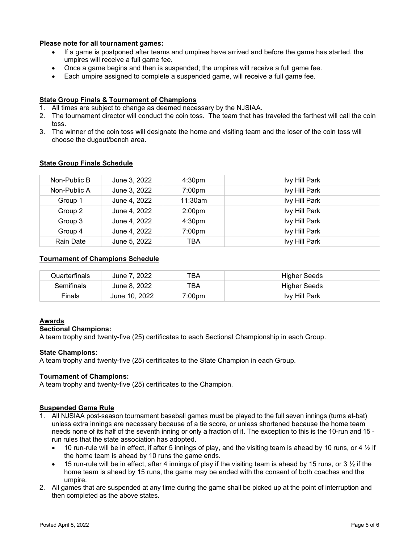### **Please note for all tournament games:**

- If a game is postponed after teams and umpires have arrived and before the game has started, the umpires will receive a full game fee.
- Once a game begins and then is suspended; the umpires will receive a full game fee.
- Each umpire assigned to complete a suspended game, will receive a full game fee.

# **State Group Finals & Tournament of Champions**

- 1. All times are subject to change as deemed necessary by the NJSIAA.
- 2. The tournament director will conduct the coin toss. The team that has traveled the farthest will call the coin toss.
- 3. The winner of the coin toss will designate the home and visiting team and the loser of the coin toss will choose the dugout/bench area.

| Non-Public B | June 3, 2022 | 4:30 <sub>pm</sub> | Ivy Hill Park        |
|--------------|--------------|--------------------|----------------------|
| Non-Public A | June 3, 2022 | 7:00 <sub>pm</sub> | Ivy Hill Park        |
| Group 1      | June 4, 2022 | 11:30am            | Ivy Hill Park        |
| Group 2      | June 4, 2022 | 2:00 <sub>pm</sub> | Ivy Hill Park        |
| Group 3      | June 4, 2022 | 4:30 <sub>pm</sub> | <b>Ivy Hill Park</b> |
| Group 4      | June 4, 2022 | 7:00 <sub>pm</sub> | Ivy Hill Park        |
| Rain Date    | June 5, 2022 | TBA                | Ivy Hill Park        |

#### **State Group Finals Schedule**

### **Tournament of Champions Schedule**

| Quarterfinals | June 7, 2022  | ТВА    | Higher Seeds         |
|---------------|---------------|--------|----------------------|
| Semifinals    | June 8, 2022  | тва.   | Higher Seeds         |
| Finals        | June 10, 2022 | 7:00pm | <b>Ivy Hill Park</b> |

#### **Awards**

#### **Sectional Champions:**

A team trophy and twenty-five (25) certificates to each Sectional Championship in each Group.

#### **State Champions:**

A team trophy and twenty-five (25) certificates to the State Champion in each Group.

#### **Tournament of Champions:**

A team trophy and twenty-five (25) certificates to the Champion.

#### **Suspended Game Rule**

- 1. All NJSIAA post-season tournament baseball games must be played to the full seven innings (turns at-bat) unless extra innings are necessary because of a tie score, or unless shortened because the home team needs none of its half of the seventh inning or only a fraction of it. The exception to this is the 10-run and 15 run rules that the state association has adopted.
	- 10 run-rule will be in effect, if after 5 innings of play, and the visiting team is ahead by 10 runs, or 4  $\frac{1}{2}$  if the home team is ahead by 10 runs the game ends.
	- 15 run-rule will be in effect, after 4 innings of play if the visiting team is ahead by 15 runs, or  $3\frac{1}{2}$  if the home team is ahead by 15 runs, the game may be ended with the consent of both coaches and the umpire.
- 2. All games that are suspended at any time during the game shall be picked up at the point of interruption and then completed as the above states.